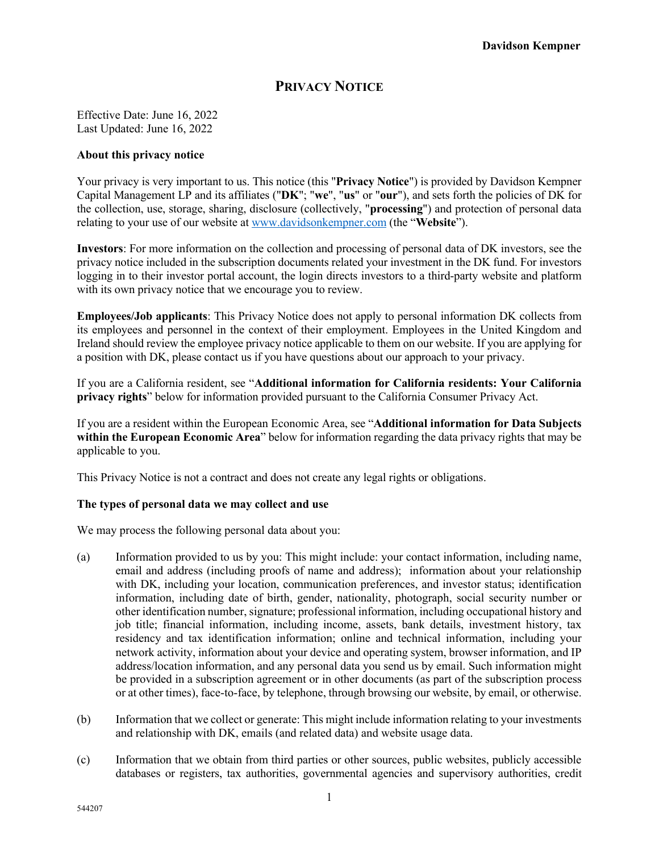# **PRIVACY NOTICE**

Effective Date: June 16, 2022 Last Updated: June 16, 2022

### **About this privacy notice**

Your privacy is very important to us. This notice (this "**Privacy Notice**") is provided by Davidson Kempner Capital Management LP and its affiliates ("**DK**"; "**we**", "**us**" or "**our**"), and sets forth the policies of DK for the collection, use, storage, sharing, disclosure (collectively, "**processing**") and protection of personal data relating to your use of our website at www.davidsonkempner.com (the "**Website**").

**Investors**: For more information on the collection and processing of personal data of DK investors, see the privacy notice included in the subscription documents related your investment in the DK fund. For investors logging in to their investor portal account, the login directs investors to a third-party website and platform with its own privacy notice that we encourage you to review.

**Employees/Job applicants**: This Privacy Notice does not apply to personal information DK collects from its employees and personnel in the context of their employment. Employees in the United Kingdom and Ireland should review the employee privacy notice applicable to them on our website. If you are applying for a position with DK, please contact us if you have questions about our approach to your privacy.

If you are a California resident, see "**Additional information for California residents: Your California privacy rights**" below for information provided pursuant to the California Consumer Privacy Act.

If you are a resident within the European Economic Area, see "**Additional information for Data Subjects within the European Economic Area**" below for information regarding the data privacy rights that may be applicable to you.

This Privacy Notice is not a contract and does not create any legal rights or obligations.

# **The types of personal data we may collect and use**

We may process the following personal data about you:

- (a) Information provided to us by you: This might include: your contact information, including name, email and address (including proofs of name and address); information about your relationship with DK, including your location, communication preferences, and investor status; identification information, including date of birth, gender, nationality, photograph, social security number or other identification number, signature; professional information, including occupational history and job title; financial information, including income, assets, bank details, investment history, tax residency and tax identification information; online and technical information, including your network activity, information about your device and operating system, browser information, and IP address/location information, and any personal data you send us by email. Such information might be provided in a subscription agreement or in other documents (as part of the subscription process or at other times), face-to-face, by telephone, through browsing our website, by email, or otherwise.
- (b) Information that we collect or generate: This might include information relating to your investments and relationship with DK, emails (and related data) and website usage data.
- (c) Information that we obtain from third parties or other sources, public websites, publicly accessible databases or registers, tax authorities, governmental agencies and supervisory authorities, credit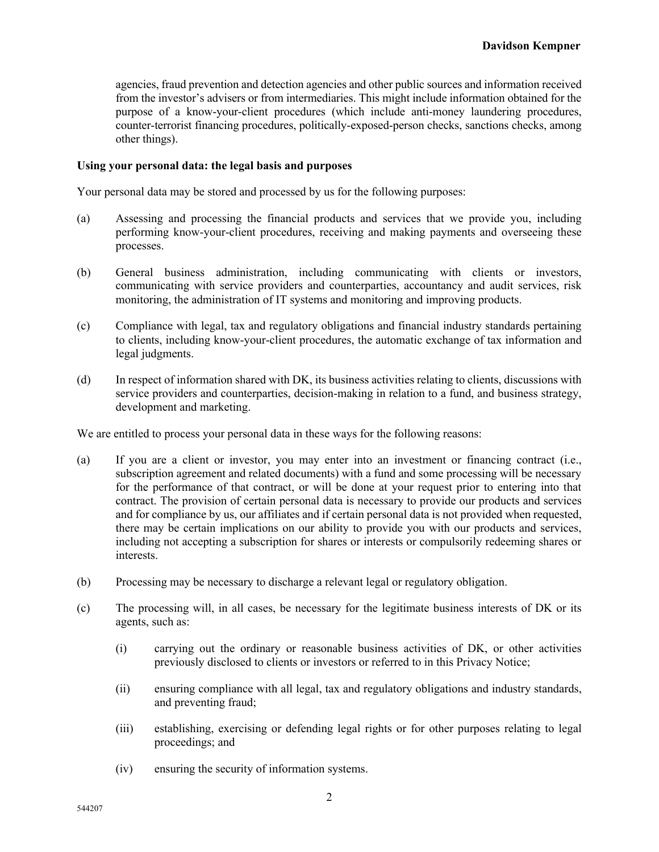agencies, fraud prevention and detection agencies and other public sources and information received from the investor's advisers or from intermediaries. This might include information obtained for the purpose of a know-your-client procedures (which include anti-money laundering procedures, counter-terrorist financing procedures, politically-exposed-person checks, sanctions checks, among other things).

# **Using your personal data: the legal basis and purposes**

Your personal data may be stored and processed by us for the following purposes:

- (a) Assessing and processing the financial products and services that we provide you, including performing know-your-client procedures, receiving and making payments and overseeing these processes.
- (b) General business administration, including communicating with clients or investors, communicating with service providers and counterparties, accountancy and audit services, risk monitoring, the administration of IT systems and monitoring and improving products.
- (c) Compliance with legal, tax and regulatory obligations and financial industry standards pertaining to clients, including know-your-client procedures, the automatic exchange of tax information and legal judgments.
- (d) In respect of information shared with DK, its business activities relating to clients, discussions with service providers and counterparties, decision-making in relation to a fund, and business strategy, development and marketing.

We are entitled to process your personal data in these ways for the following reasons:

- (a) If you are a client or investor, you may enter into an investment or financing contract (i.e., subscription agreement and related documents) with a fund and some processing will be necessary for the performance of that contract, or will be done at your request prior to entering into that contract. The provision of certain personal data is necessary to provide our products and services and for compliance by us, our affiliates and if certain personal data is not provided when requested, there may be certain implications on our ability to provide you with our products and services, including not accepting a subscription for shares or interests or compulsorily redeeming shares or interests.
- (b) Processing may be necessary to discharge a relevant legal or regulatory obligation.
- (c) The processing will, in all cases, be necessary for the legitimate business interests of DK or its agents, such as:
	- (i) carrying out the ordinary or reasonable business activities of DK, or other activities previously disclosed to clients or investors or referred to in this Privacy Notice;
	- (ii) ensuring compliance with all legal, tax and regulatory obligations and industry standards, and preventing fraud;
	- (iii) establishing, exercising or defending legal rights or for other purposes relating to legal proceedings; and
	- (iv) ensuring the security of information systems.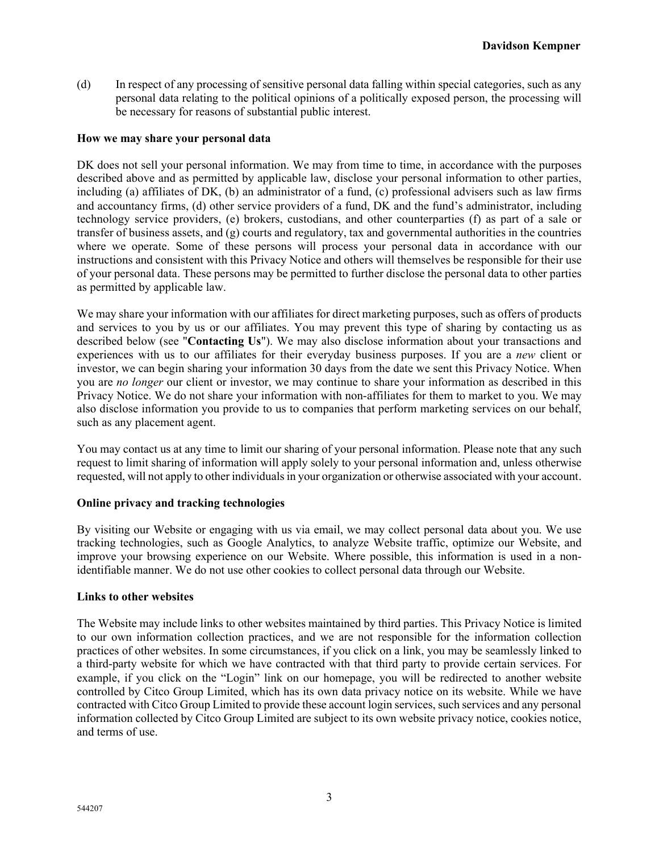(d) In respect of any processing of sensitive personal data falling within special categories, such as any personal data relating to the political opinions of a politically exposed person, the processing will be necessary for reasons of substantial public interest.

### **How we may share your personal data**

DK does not sell your personal information. We may from time to time, in accordance with the purposes described above and as permitted by applicable law, disclose your personal information to other parties, including (a) affiliates of DK, (b) an administrator of a fund, (c) professional advisers such as law firms and accountancy firms, (d) other service providers of a fund, DK and the fund's administrator, including technology service providers, (e) brokers, custodians, and other counterparties (f) as part of a sale or transfer of business assets, and (g) courts and regulatory, tax and governmental authorities in the countries where we operate. Some of these persons will process your personal data in accordance with our instructions and consistent with this Privacy Notice and others will themselves be responsible for their use of your personal data. These persons may be permitted to further disclose the personal data to other parties as permitted by applicable law.

We may share your information with our affiliates for direct marketing purposes, such as offers of products and services to you by us or our affiliates. You may prevent this type of sharing by contacting us as described below (see "**Contacting Us**"). We may also disclose information about your transactions and experiences with us to our affiliates for their everyday business purposes. If you are a *new* client or investor, we can begin sharing your information 30 days from the date we sent this Privacy Notice. When you are *no longer* our client or investor, we may continue to share your information as described in this Privacy Notice. We do not share your information with non-affiliates for them to market to you. We may also disclose information you provide to us to companies that perform marketing services on our behalf, such as any placement agent.

You may contact us at any time to limit our sharing of your personal information. Please note that any such request to limit sharing of information will apply solely to your personal information and, unless otherwise requested, will not apply to other individuals in your organization or otherwise associated with your account.

# **Online privacy and tracking technologies**

By visiting our Website or engaging with us via email, we may collect personal data about you. We use tracking technologies, such as Google Analytics, to analyze Website traffic, optimize our Website, and improve your browsing experience on our Website. Where possible, this information is used in a nonidentifiable manner. We do not use other cookies to collect personal data through our Website.

#### **Links to other websites**

The Website may include links to other websites maintained by third parties. This Privacy Notice is limited to our own information collection practices, and we are not responsible for the information collection practices of other websites. In some circumstances, if you click on a link, you may be seamlessly linked to a third-party website for which we have contracted with that third party to provide certain services. For example, if you click on the "Login" link on our homepage, you will be redirected to another website controlled by Citco Group Limited, which has its own data privacy notice on its website. While we have contracted with Citco Group Limited to provide these account login services, such services and any personal information collected by Citco Group Limited are subject to its own website privacy notice, cookies notice, and terms of use.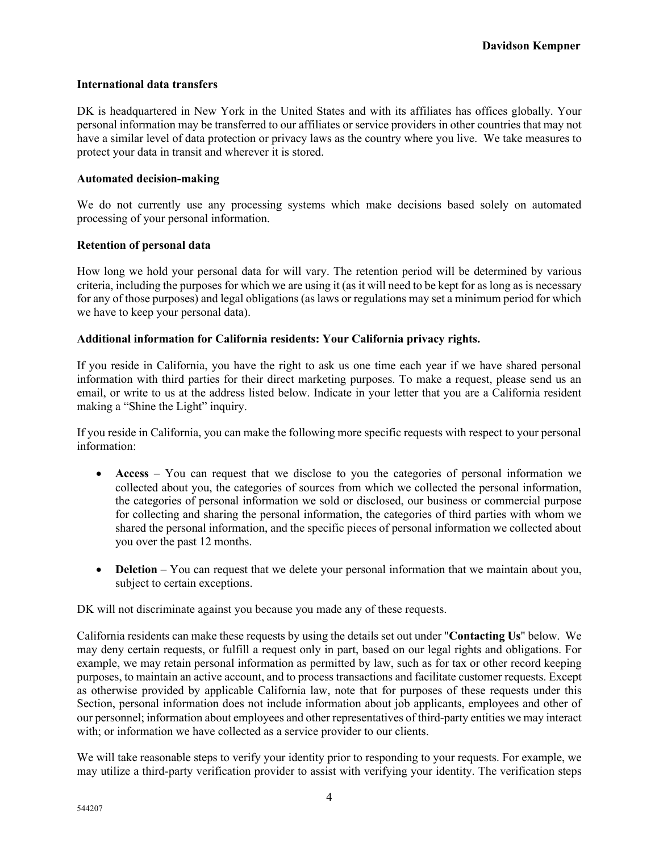# **International data transfers**

DK is headquartered in New York in the United States and with its affiliates has offices globally. Your personal information may be transferred to our affiliates or service providers in other countries that may not have a similar level of data protection or privacy laws as the country where you live. We take measures to protect your data in transit and wherever it is stored.

# **Automated decision-making**

We do not currently use any processing systems which make decisions based solely on automated processing of your personal information.

# **Retention of personal data**

How long we hold your personal data for will vary. The retention period will be determined by various criteria, including the purposes for which we are using it (as it will need to be kept for as long as is necessary for any of those purposes) and legal obligations (as laws or regulations may set a minimum period for which we have to keep your personal data).

# **Additional information for California residents: Your California privacy rights.**

If you reside in California, you have the right to ask us one time each year if we have shared personal information with third parties for their direct marketing purposes. To make a request, please send us an email, or write to us at the address listed below. Indicate in your letter that you are a California resident making a "Shine the Light" inquiry.

If you reside in California, you can make the following more specific requests with respect to your personal information:

- **Access** You can request that we disclose to you the categories of personal information we collected about you, the categories of sources from which we collected the personal information, the categories of personal information we sold or disclosed, our business or commercial purpose for collecting and sharing the personal information, the categories of third parties with whom we shared the personal information, and the specific pieces of personal information we collected about you over the past 12 months.
- **Deletion** You can request that we delete your personal information that we maintain about you, subject to certain exceptions.

DK will not discriminate against you because you made any of these requests.

California residents can make these requests by using the details set out under "**Contacting Us**" below. We may deny certain requests, or fulfill a request only in part, based on our legal rights and obligations. For example, we may retain personal information as permitted by law, such as for tax or other record keeping purposes, to maintain an active account, and to process transactions and facilitate customer requests. Except as otherwise provided by applicable California law, note that for purposes of these requests under this Section, personal information does not include information about job applicants, employees and other of our personnel; information about employees and other representatives of third-party entities we may interact with; or information we have collected as a service provider to our clients.

We will take reasonable steps to verify your identity prior to responding to your requests. For example, we may utilize a third-party verification provider to assist with verifying your identity. The verification steps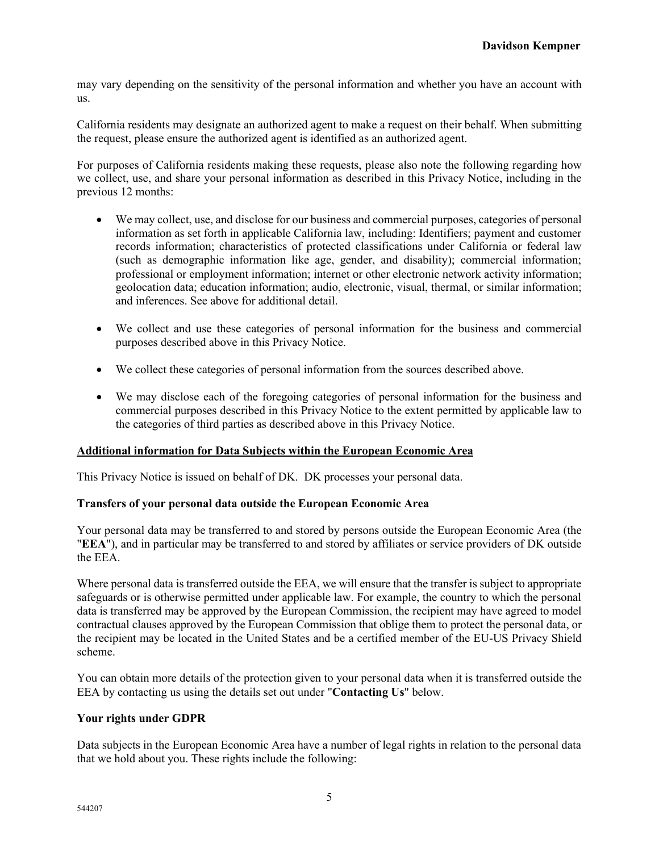may vary depending on the sensitivity of the personal information and whether you have an account with us.

California residents may designate an authorized agent to make a request on their behalf. When submitting the request, please ensure the authorized agent is identified as an authorized agent.

For purposes of California residents making these requests, please also note the following regarding how we collect, use, and share your personal information as described in this Privacy Notice, including in the previous 12 months:

- We may collect, use, and disclose for our business and commercial purposes, categories of personal information as set forth in applicable California law, including: Identifiers; payment and customer records information; characteristics of protected classifications under California or federal law (such as demographic information like age, gender, and disability); commercial information; professional or employment information; internet or other electronic network activity information; geolocation data; education information; audio, electronic, visual, thermal, or similar information; and inferences. See above for additional detail.
- We collect and use these categories of personal information for the business and commercial purposes described above in this Privacy Notice.
- We collect these categories of personal information from the sources described above.
- We may disclose each of the foregoing categories of personal information for the business and commercial purposes described in this Privacy Notice to the extent permitted by applicable law to the categories of third parties as described above in this Privacy Notice.

#### **Additional information for Data Subjects within the European Economic Area**

This Privacy Notice is issued on behalf of DK. DK processes your personal data.

### **Transfers of your personal data outside the European Economic Area**

Your personal data may be transferred to and stored by persons outside the European Economic Area (the "**EEA**"), and in particular may be transferred to and stored by affiliates or service providers of DK outside the EEA.

Where personal data is transferred outside the EEA, we will ensure that the transfer is subject to appropriate safeguards or is otherwise permitted under applicable law. For example, the country to which the personal data is transferred may be approved by the European Commission, the recipient may have agreed to model contractual clauses approved by the European Commission that oblige them to protect the personal data, or the recipient may be located in the United States and be a certified member of the EU-US Privacy Shield scheme.

You can obtain more details of the protection given to your personal data when it is transferred outside the EEA by contacting us using the details set out under "**Contacting Us**" below.

#### **Your rights under GDPR**

Data subjects in the European Economic Area have a number of legal rights in relation to the personal data that we hold about you. These rights include the following: